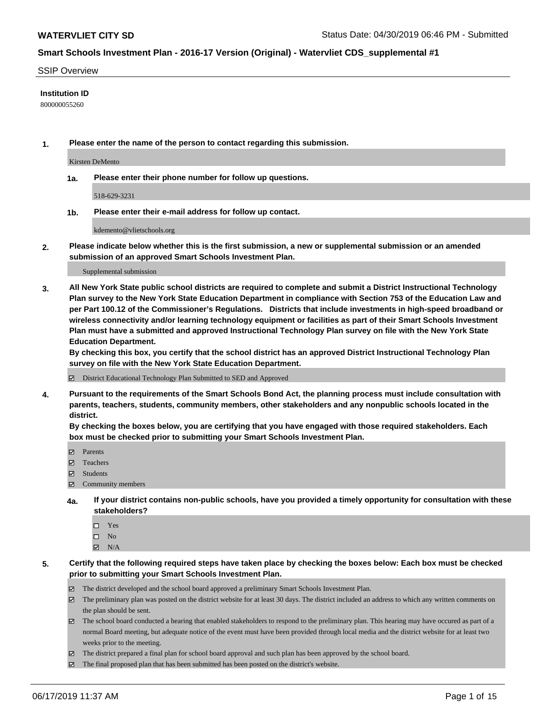#### SSIP Overview

### **Institution ID**

800000055260

**1. Please enter the name of the person to contact regarding this submission.**

Kirsten DeMento

**1a. Please enter their phone number for follow up questions.**

518-629-3231

**1b. Please enter their e-mail address for follow up contact.**

kdemento@vlietschools.org

**2. Please indicate below whether this is the first submission, a new or supplemental submission or an amended submission of an approved Smart Schools Investment Plan.**

#### Supplemental submission

**3. All New York State public school districts are required to complete and submit a District Instructional Technology Plan survey to the New York State Education Department in compliance with Section 753 of the Education Law and per Part 100.12 of the Commissioner's Regulations. Districts that include investments in high-speed broadband or wireless connectivity and/or learning technology equipment or facilities as part of their Smart Schools Investment Plan must have a submitted and approved Instructional Technology Plan survey on file with the New York State Education Department.** 

**By checking this box, you certify that the school district has an approved District Instructional Technology Plan survey on file with the New York State Education Department.**

District Educational Technology Plan Submitted to SED and Approved

**4. Pursuant to the requirements of the Smart Schools Bond Act, the planning process must include consultation with parents, teachers, students, community members, other stakeholders and any nonpublic schools located in the district.** 

**By checking the boxes below, you are certifying that you have engaged with those required stakeholders. Each box must be checked prior to submitting your Smart Schools Investment Plan.**

- Parents
- Teachers
- Students
- Community members
- **4a. If your district contains non-public schools, have you provided a timely opportunity for consultation with these stakeholders?**
	- □ Yes
	- $\square$  No
	- $N/A$
- **5. Certify that the following required steps have taken place by checking the boxes below: Each box must be checked prior to submitting your Smart Schools Investment Plan.**
	- The district developed and the school board approved a preliminary Smart Schools Investment Plan.
	- $\boxtimes$  The preliminary plan was posted on the district website for at least 30 days. The district included an address to which any written comments on the plan should be sent.
	- $\boxtimes$  The school board conducted a hearing that enabled stakeholders to respond to the preliminary plan. This hearing may have occured as part of a normal Board meeting, but adequate notice of the event must have been provided through local media and the district website for at least two weeks prior to the meeting.
	- The district prepared a final plan for school board approval and such plan has been approved by the school board.
	- $\boxtimes$  The final proposed plan that has been submitted has been posted on the district's website.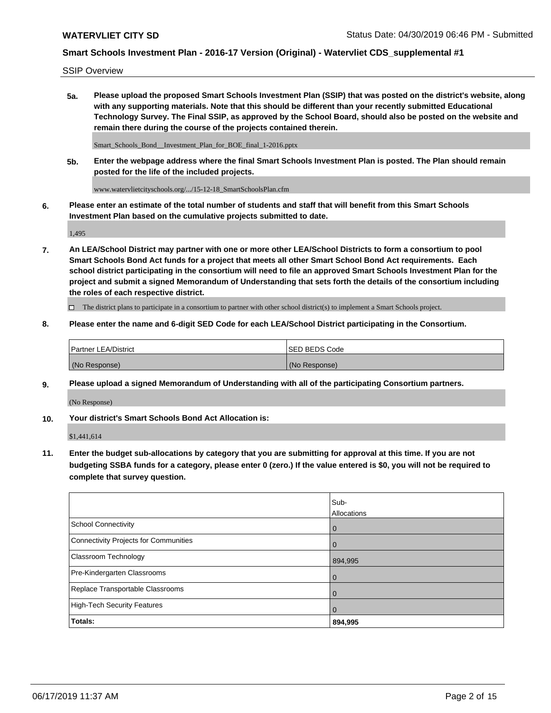SSIP Overview

**5a. Please upload the proposed Smart Schools Investment Plan (SSIP) that was posted on the district's website, along with any supporting materials. Note that this should be different than your recently submitted Educational Technology Survey. The Final SSIP, as approved by the School Board, should also be posted on the website and remain there during the course of the projects contained therein.**

Smart\_Schools\_Bond\_\_Investment\_Plan\_for\_BOE\_final\_1-2016.pptx

**5b. Enter the webpage address where the final Smart Schools Investment Plan is posted. The Plan should remain posted for the life of the included projects.**

www.watervlietcityschools.org/.../15-12-18\_SmartSchoolsPlan.cfm

**6. Please enter an estimate of the total number of students and staff that will benefit from this Smart Schools Investment Plan based on the cumulative projects submitted to date.**

1,495

**7. An LEA/School District may partner with one or more other LEA/School Districts to form a consortium to pool Smart Schools Bond Act funds for a project that meets all other Smart School Bond Act requirements. Each school district participating in the consortium will need to file an approved Smart Schools Investment Plan for the project and submit a signed Memorandum of Understanding that sets forth the details of the consortium including the roles of each respective district.**

 $\Box$  The district plans to participate in a consortium to partner with other school district(s) to implement a Smart Schools project.

### **8. Please enter the name and 6-digit SED Code for each LEA/School District participating in the Consortium.**

| Partner LEA/District | <b>ISED BEDS Code</b> |
|----------------------|-----------------------|
| (No Response)        | (No Response)         |

### **9. Please upload a signed Memorandum of Understanding with all of the participating Consortium partners.**

(No Response)

**10. Your district's Smart Schools Bond Act Allocation is:**

\$1,441,614

**11. Enter the budget sub-allocations by category that you are submitting for approval at this time. If you are not budgeting SSBA funds for a category, please enter 0 (zero.) If the value entered is \$0, you will not be required to complete that survey question.**

|                                       | Sub-<br>Allocations |
|---------------------------------------|---------------------|
| School Connectivity                   | $\overline{0}$      |
| Connectivity Projects for Communities | $\Omega$            |
| <b>Classroom Technology</b>           | 894,995             |
| Pre-Kindergarten Classrooms           | $\overline{0}$      |
| Replace Transportable Classrooms      | $\Omega$            |
| High-Tech Security Features           | $\Omega$            |
| Totals:                               | 894,995             |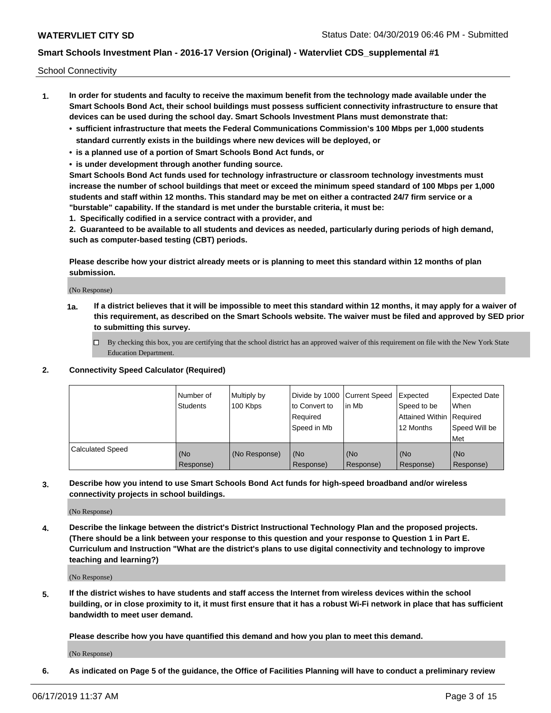School Connectivity

- **1. In order for students and faculty to receive the maximum benefit from the technology made available under the Smart Schools Bond Act, their school buildings must possess sufficient connectivity infrastructure to ensure that devices can be used during the school day. Smart Schools Investment Plans must demonstrate that:**
	- **• sufficient infrastructure that meets the Federal Communications Commission's 100 Mbps per 1,000 students standard currently exists in the buildings where new devices will be deployed, or**
	- **• is a planned use of a portion of Smart Schools Bond Act funds, or**
	- **• is under development through another funding source.**

**Smart Schools Bond Act funds used for technology infrastructure or classroom technology investments must increase the number of school buildings that meet or exceed the minimum speed standard of 100 Mbps per 1,000 students and staff within 12 months. This standard may be met on either a contracted 24/7 firm service or a "burstable" capability. If the standard is met under the burstable criteria, it must be:**

**1. Specifically codified in a service contract with a provider, and**

**2. Guaranteed to be available to all students and devices as needed, particularly during periods of high demand, such as computer-based testing (CBT) periods.**

**Please describe how your district already meets or is planning to meet this standard within 12 months of plan submission.**

(No Response)

**1a. If a district believes that it will be impossible to meet this standard within 12 months, it may apply for a waiver of this requirement, as described on the Smart Schools website. The waiver must be filed and approved by SED prior to submitting this survey.**

 $\Box$  By checking this box, you are certifying that the school district has an approved waiver of this requirement on file with the New York State Education Department.

#### **2. Connectivity Speed Calculator (Required)**

|                         | l Number of<br>Students | Multiply by<br>100 Kbps | Divide by 1000 Current Speed<br>to Convert to<br>Required<br>l Speed in Mb | lin Mb           | Expected<br>Speed to be<br>Attained Within   Required<br>12 Months | <b>Expected Date</b><br>When<br>Speed Will be<br>Met |
|-------------------------|-------------------------|-------------------------|----------------------------------------------------------------------------|------------------|--------------------------------------------------------------------|------------------------------------------------------|
| <b>Calculated Speed</b> | (No<br>Response)        | (No Response)           | (No<br>Response)                                                           | (No<br>Response) | (No<br>Response)                                                   | (No<br>Response)                                     |

**3. Describe how you intend to use Smart Schools Bond Act funds for high-speed broadband and/or wireless connectivity projects in school buildings.**

(No Response)

**4. Describe the linkage between the district's District Instructional Technology Plan and the proposed projects. (There should be a link between your response to this question and your response to Question 1 in Part E. Curriculum and Instruction "What are the district's plans to use digital connectivity and technology to improve teaching and learning?)**

(No Response)

**5. If the district wishes to have students and staff access the Internet from wireless devices within the school building, or in close proximity to it, it must first ensure that it has a robust Wi-Fi network in place that has sufficient bandwidth to meet user demand.**

**Please describe how you have quantified this demand and how you plan to meet this demand.**

(No Response)

**6. As indicated on Page 5 of the guidance, the Office of Facilities Planning will have to conduct a preliminary review**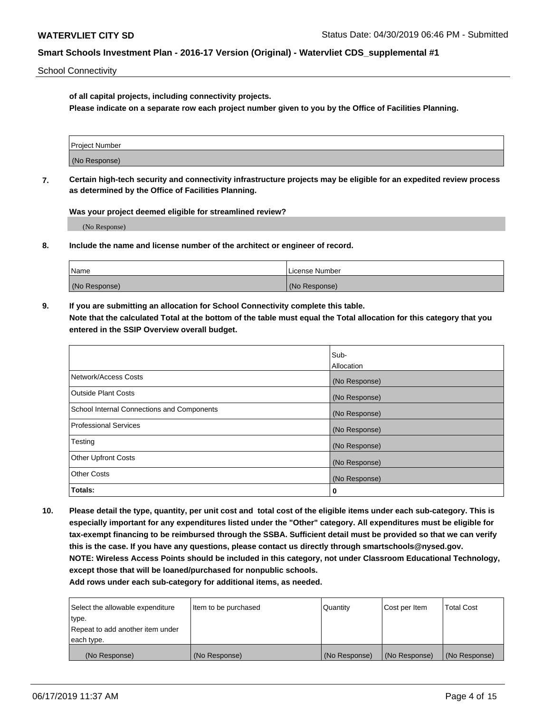School Connectivity

**of all capital projects, including connectivity projects.**

**Please indicate on a separate row each project number given to you by the Office of Facilities Planning.**

| Project Number |  |
|----------------|--|
|                |  |
| (No Response)  |  |
|                |  |

**7. Certain high-tech security and connectivity infrastructure projects may be eligible for an expedited review process as determined by the Office of Facilities Planning.**

**Was your project deemed eligible for streamlined review?**

(No Response)

**8. Include the name and license number of the architect or engineer of record.**

| Name          | License Number |
|---------------|----------------|
| (No Response) | (No Response)  |

**9. If you are submitting an allocation for School Connectivity complete this table. Note that the calculated Total at the bottom of the table must equal the Total allocation for this category that you entered in the SSIP Overview overall budget.** 

|                                            | Sub-          |
|--------------------------------------------|---------------|
|                                            | Allocation    |
| Network/Access Costs                       | (No Response) |
| Outside Plant Costs                        | (No Response) |
| School Internal Connections and Components | (No Response) |
| <b>Professional Services</b>               | (No Response) |
| Testing                                    | (No Response) |
| <b>Other Upfront Costs</b>                 | (No Response) |
| <b>Other Costs</b>                         | (No Response) |
| Totals:                                    | 0             |

**10. Please detail the type, quantity, per unit cost and total cost of the eligible items under each sub-category. This is especially important for any expenditures listed under the "Other" category. All expenditures must be eligible for tax-exempt financing to be reimbursed through the SSBA. Sufficient detail must be provided so that we can verify this is the case. If you have any questions, please contact us directly through smartschools@nysed.gov. NOTE: Wireless Access Points should be included in this category, not under Classroom Educational Technology, except those that will be loaned/purchased for nonpublic schools.**

| Select the allowable expenditure | Item to be purchased | Quantity      | <b>Cost per Item</b> | <b>Total Cost</b> |
|----------------------------------|----------------------|---------------|----------------------|-------------------|
| type.                            |                      |               |                      |                   |
| Repeat to add another item under |                      |               |                      |                   |
| each type.                       |                      |               |                      |                   |
| (No Response)                    | (No Response)        | (No Response) | (No Response)        | (No Response)     |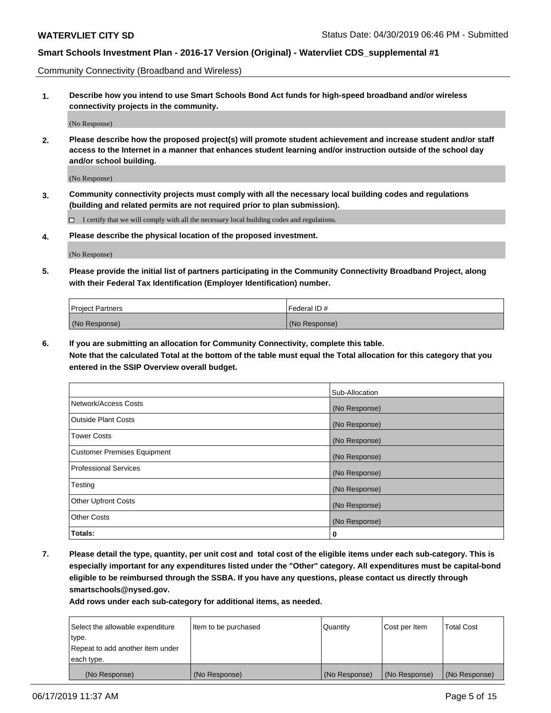Community Connectivity (Broadband and Wireless)

**1. Describe how you intend to use Smart Schools Bond Act funds for high-speed broadband and/or wireless connectivity projects in the community.**

(No Response)

**2. Please describe how the proposed project(s) will promote student achievement and increase student and/or staff access to the Internet in a manner that enhances student learning and/or instruction outside of the school day and/or school building.**

(No Response)

**3. Community connectivity projects must comply with all the necessary local building codes and regulations (building and related permits are not required prior to plan submission).**

 $\Box$  I certify that we will comply with all the necessary local building codes and regulations.

**4. Please describe the physical location of the proposed investment.**

(No Response)

**5. Please provide the initial list of partners participating in the Community Connectivity Broadband Project, along with their Federal Tax Identification (Employer Identification) number.**

| <b>Project Partners</b> | Federal ID#   |
|-------------------------|---------------|
| (No Response)           | (No Response) |

**6. If you are submitting an allocation for Community Connectivity, complete this table.**

**Note that the calculated Total at the bottom of the table must equal the Total allocation for this category that you entered in the SSIP Overview overall budget.**

|                              | Sub-Allocation |
|------------------------------|----------------|
| Network/Access Costs         | (No Response)  |
| Outside Plant Costs          | (No Response)  |
| <b>Tower Costs</b>           | (No Response)  |
| Customer Premises Equipment  | (No Response)  |
| <b>Professional Services</b> | (No Response)  |
| Testing                      | (No Response)  |
| <b>Other Upfront Costs</b>   | (No Response)  |
| <b>Other Costs</b>           | (No Response)  |
| Totals:                      | 0              |

**7. Please detail the type, quantity, per unit cost and total cost of the eligible items under each sub-category. This is especially important for any expenditures listed under the "Other" category. All expenditures must be capital-bond eligible to be reimbursed through the SSBA. If you have any questions, please contact us directly through smartschools@nysed.gov.**

| Select the allowable expenditure<br>type.      | Item to be purchased | Quantity      | Cost per Item | <b>Total Cost</b> |
|------------------------------------------------|----------------------|---------------|---------------|-------------------|
| Repeat to add another item under<br>each type. |                      |               |               |                   |
| (No Response)                                  | (No Response)        | (No Response) | (No Response) | (No Response)     |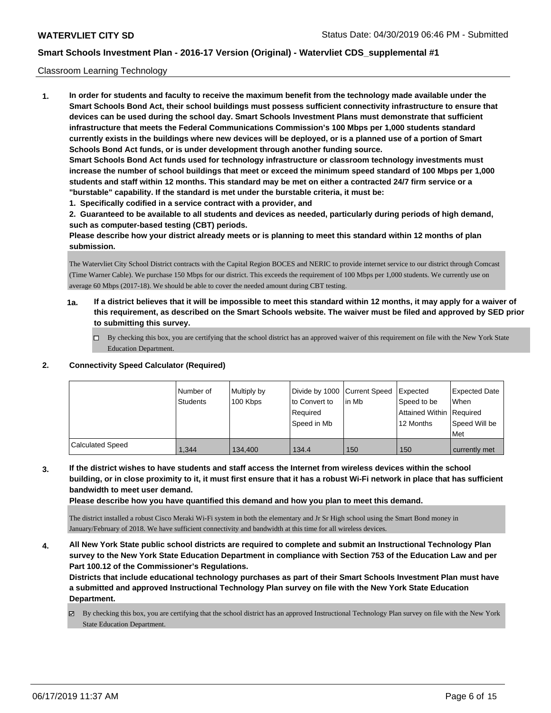### Classroom Learning Technology

**1. In order for students and faculty to receive the maximum benefit from the technology made available under the Smart Schools Bond Act, their school buildings must possess sufficient connectivity infrastructure to ensure that devices can be used during the school day. Smart Schools Investment Plans must demonstrate that sufficient infrastructure that meets the Federal Communications Commission's 100 Mbps per 1,000 students standard currently exists in the buildings where new devices will be deployed, or is a planned use of a portion of Smart Schools Bond Act funds, or is under development through another funding source. Smart Schools Bond Act funds used for technology infrastructure or classroom technology investments must increase the number of school buildings that meet or exceed the minimum speed standard of 100 Mbps per 1,000 students and staff within 12 months. This standard may be met on either a contracted 24/7 firm service or a "burstable" capability. If the standard is met under the burstable criteria, it must be:**

**1. Specifically codified in a service contract with a provider, and**

**2. Guaranteed to be available to all students and devices as needed, particularly during periods of high demand, such as computer-based testing (CBT) periods.**

**Please describe how your district already meets or is planning to meet this standard within 12 months of plan submission.**

The Watervliet City School District contracts with the Capital Region BOCES and NERIC to provide internet service to our district through Comcast (Time Warner Cable). We purchase 150 Mbps for our district. This exceeds the requirement of 100 Mbps per 1,000 students. We currently use on average 60 Mbps (2017-18). We should be able to cover the needed amount during CBT testing.

- **1a. If a district believes that it will be impossible to meet this standard within 12 months, it may apply for a waiver of this requirement, as described on the Smart Schools website. The waiver must be filed and approved by SED prior to submitting this survey.**
	- By checking this box, you are certifying that the school district has an approved waiver of this requirement on file with the New York State Education Department.

#### **2. Connectivity Speed Calculator (Required)**

|                         | Number of<br><b>Students</b> | Multiply by<br>100 Kbps | Divide by 1000 Current Speed<br>to Convert to<br>Reauired<br>Speed in Mb | l in Mb | <b>Expected</b><br>Speed to be<br>Attained Within Required<br>12 Months | <b>Expected Date</b><br><b>When</b><br>Speed Will be<br>Met |
|-------------------------|------------------------------|-------------------------|--------------------------------------------------------------------------|---------|-------------------------------------------------------------------------|-------------------------------------------------------------|
| <b>Calculated Speed</b> | 1.344                        | 134.400                 | 134.4                                                                    | 150     | 150                                                                     | currently met                                               |

**3. If the district wishes to have students and staff access the Internet from wireless devices within the school building, or in close proximity to it, it must first ensure that it has a robust Wi-Fi network in place that has sufficient bandwidth to meet user demand.**

**Please describe how you have quantified this demand and how you plan to meet this demand.**

The district installed a robust Cisco Meraki Wi-Fi system in both the elementary and Jr Sr High school using the Smart Bond money in January/February of 2018. We have sufficient connectivity and bandwidth at this time for all wireless devices.

**4. All New York State public school districts are required to complete and submit an Instructional Technology Plan survey to the New York State Education Department in compliance with Section 753 of the Education Law and per Part 100.12 of the Commissioner's Regulations.**

**Districts that include educational technology purchases as part of their Smart Schools Investment Plan must have a submitted and approved Instructional Technology Plan survey on file with the New York State Education Department.**

By checking this box, you are certifying that the school district has an approved Instructional Technology Plan survey on file with the New York State Education Department.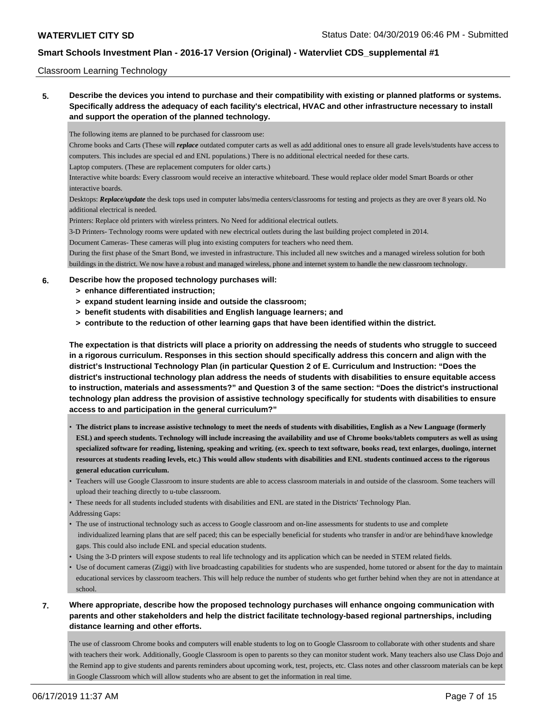### Classroom Learning Technology

**5. Describe the devices you intend to purchase and their compatibility with existing or planned platforms or systems. Specifically address the adequacy of each facility's electrical, HVAC and other infrastructure necessary to install and support the operation of the planned technology.**

The following items are planned to be purchased for classroom use:

Chrome books and Carts (These will *replace* outdated computer carts as well as add additional ones to ensure all grade levels/students have access to computers. This includes are special ed and ENL populations.) There is no additional electrical needed for these carts.

Laptop computers. (These are replacement computers for older carts.)

Interactive white boards: Every classroom would receive an interactive whiteboard. These would replace older model Smart Boards or other interactive boards.

Desktops: *Replace/update* the desk tops used in computer labs/media centers/classrooms for testing and projects as they are over 8 years old. No additional electrical is needed.

Printers: Replace old printers with wireless printers. No Need for additional electrical outlets.

3-D Printers- Technology rooms were updated with new electrical outlets during the last building project completed in 2014.

Document Cameras- These cameras will plug into existing computers for teachers who need them.

During the first phase of the Smart Bond, we invested in infrastructure. This included all new switches and a managed wireless solution for both buildings in the district. We now have a robust and managed wireless, phone and internet system to handle the new classroom technology.

### **6. Describe how the proposed technology purchases will:**

- **> enhance differentiated instruction;**
- **> expand student learning inside and outside the classroom;**
- **> benefit students with disabilities and English language learners; and**
- **> contribute to the reduction of other learning gaps that have been identified within the district.**

**The expectation is that districts will place a priority on addressing the needs of students who struggle to succeed in a rigorous curriculum. Responses in this section should specifically address this concern and align with the district's Instructional Technology Plan (in particular Question 2 of E. Curriculum and Instruction: "Does the district's instructional technology plan address the needs of students with disabilities to ensure equitable access to instruction, materials and assessments?" and Question 3 of the same section: "Does the district's instructional technology plan address the provision of assistive technology specifically for students with disabilities to ensure access to and participation in the general curriculum?"**

- **The district plans to increase assistive technology to meet the needs of students with disabilities, English as a New Language (formerly ESL) and speech students. Technology will include increasing the availability and use of Chrome books/tablets computers as well as using specialized software for reading, listening, speaking and writing. (ex. speech to text software, books read, text enlarges, duolingo, internet resources at students reading levels, etc.) This would allow students with disabilities and ENL students continued access to the rigorous general education curriculum.**
- Teachers will use Google Classroom to insure students are able to access classroom materials in and outside of the classroom. Some teachers will upload their teaching directly to u-tube classroom.
- These needs for all students included students with disabilities and ENL are stated in the Districts' Technology Plan.

Addressing Gaps:

- The use of instructional technology such as access to Google classroom and on-line assessments for students to use and complete individualized learning plans that are self paced; this can be especially beneficial for students who transfer in and/or are behind/have knowledge gaps. This could also include ENL and special education students.
- Using the 3-D printers will expose students to real life technology and its application which can be needed in STEM related fields.
- Use of document cameras (Ziggi) with live broadcasting capabilities for students who are suspended, home tutored or absent for the day to maintain educational services by classroom teachers. This will help reduce the number of students who get further behind when they are not in attendance at school.
- **7. Where appropriate, describe how the proposed technology purchases will enhance ongoing communication with parents and other stakeholders and help the district facilitate technology-based regional partnerships, including distance learning and other efforts.**

The use of classroom Chrome books and computers will enable students to log on to Google Classroom to collaborate with other students and share with teachers their work. Additionally, Google Classroom is open to parents so they can monitor student work. Many teachers also use Class Dojo and the Remind app to give students and parents reminders about upcoming work, test, projects, etc. Class notes and other classroom materials can be kept in Google Classroom which will allow students who are absent to get the information in real time.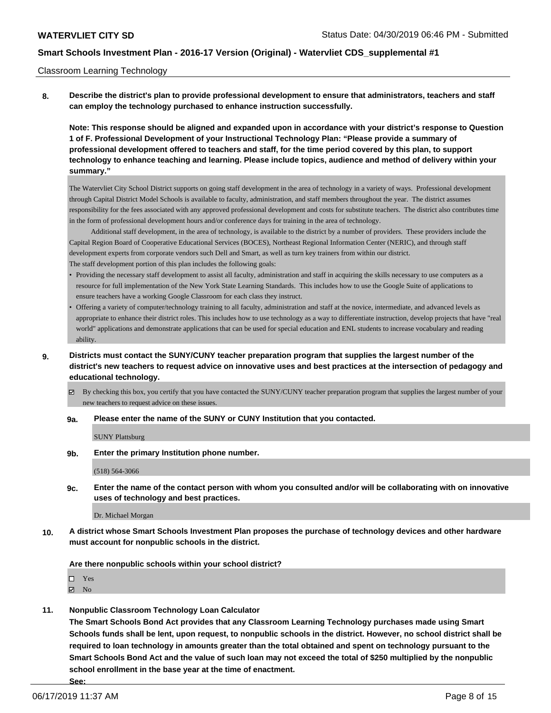### Classroom Learning Technology

**8. Describe the district's plan to provide professional development to ensure that administrators, teachers and staff can employ the technology purchased to enhance instruction successfully.**

**Note: This response should be aligned and expanded upon in accordance with your district's response to Question 1 of F. Professional Development of your Instructional Technology Plan: "Please provide a summary of professional development offered to teachers and staff, for the time period covered by this plan, to support technology to enhance teaching and learning. Please include topics, audience and method of delivery within your summary."**

The Watervliet City School District supports on going staff development in the area of technology in a variety of ways. Professional development through Capital District Model Schools is available to faculty, administration, and staff members throughout the year. The district assumes responsibility for the fees associated with any approved professional development and costs for substitute teachers. The district also contributes time in the form of professional development hours and/or conference days for training in the area of technology.

 Additional staff development, in the area of technology, is available to the district by a number of providers. These providers include the Capital Region Board of Cooperative Educational Services (BOCES), Northeast Regional Information Center (NERIC), and through staff development experts from corporate vendors such Dell and Smart, as well as turn key trainers from within our district. The staff development portion of this plan includes the following goals:

- Providing the necessary staff development to assist all faculty, administration and staff in acquiring the skills necessary to use computers as a resource for full implementation of the New York State Learning Standards. This includes how to use the Google Suite of applications to ensure teachers have a working Google Classroom for each class they instruct.
- Offering a variety of computer/technology training to all faculty, administration and staff at the novice, intermediate, and advanced levels as appropriate to enhance their district roles. This includes how to use technology as a way to differentiate instruction, develop projects that have "real world" applications and demonstrate applications that can be used for special education and ENL students to increase vocabulary and reading ability.
- **9. Districts must contact the SUNY/CUNY teacher preparation program that supplies the largest number of the district's new teachers to request advice on innovative uses and best practices at the intersection of pedagogy and educational technology.**
	- By checking this box, you certify that you have contacted the SUNY/CUNY teacher preparation program that supplies the largest number of your new teachers to request advice on these issues.

**9a. Please enter the name of the SUNY or CUNY Institution that you contacted.**

SUNY Plattsburg

**9b. Enter the primary Institution phone number.**

(518) 564-3066

**9c. Enter the name of the contact person with whom you consulted and/or will be collaborating with on innovative uses of technology and best practices.**

Dr. Michael Morgan

**10. A district whose Smart Schools Investment Plan proposes the purchase of technology devices and other hardware must account for nonpublic schools in the district.**

**Are there nonpublic schools within your school district?**

□ Yes

**Z** No

**11. Nonpublic Classroom Technology Loan Calculator**

**The Smart Schools Bond Act provides that any Classroom Learning Technology purchases made using Smart Schools funds shall be lent, upon request, to nonpublic schools in the district. However, no school district shall be required to loan technology in amounts greater than the total obtained and spent on technology pursuant to the Smart Schools Bond Act and the value of such loan may not exceed the total of \$250 multiplied by the nonpublic school enrollment in the base year at the time of enactment.**

**See:**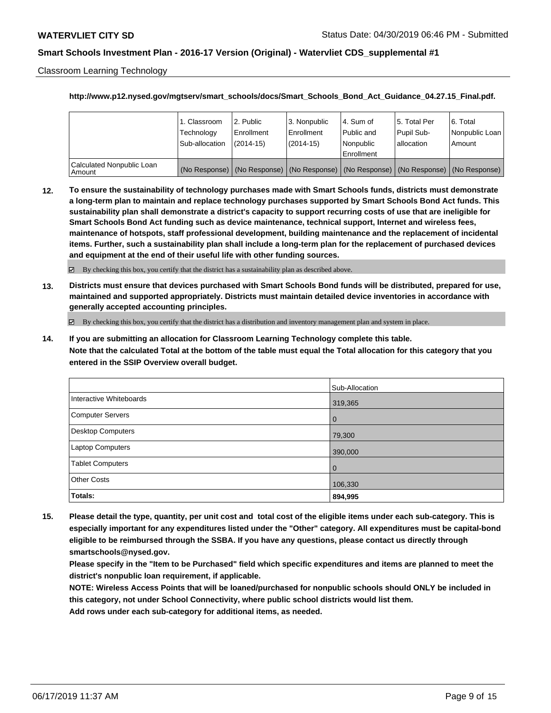Classroom Learning Technology

### **http://www.p12.nysed.gov/mgtserv/smart\_schools/docs/Smart\_Schools\_Bond\_Act\_Guidance\_04.27.15\_Final.pdf.**

|                                       | 1. Classroom<br>Technology<br>Sub-allocation | 2. Public<br>l Enrollment<br>(2014-15) | 3. Nonpublic<br>l Enrollment<br>$(2014 - 15)$ | I4. Sum of<br>l Public and<br>l Nonpublic<br>Enrollment | 15. Total Per<br>Pupil Sub-<br>lallocation | l 6. Total<br>Nonpublic Loan<br>Amount                                                        |
|---------------------------------------|----------------------------------------------|----------------------------------------|-----------------------------------------------|---------------------------------------------------------|--------------------------------------------|-----------------------------------------------------------------------------------------------|
| Calculated Nonpublic Loan<br>l Amount |                                              |                                        |                                               |                                                         |                                            | (No Response)   (No Response)   (No Response)   (No Response)   (No Response)   (No Response) |

**12. To ensure the sustainability of technology purchases made with Smart Schools funds, districts must demonstrate a long-term plan to maintain and replace technology purchases supported by Smart Schools Bond Act funds. This sustainability plan shall demonstrate a district's capacity to support recurring costs of use that are ineligible for Smart Schools Bond Act funding such as device maintenance, technical support, Internet and wireless fees, maintenance of hotspots, staff professional development, building maintenance and the replacement of incidental items. Further, such a sustainability plan shall include a long-term plan for the replacement of purchased devices and equipment at the end of their useful life with other funding sources.**

 $\boxtimes$  By checking this box, you certify that the district has a sustainability plan as described above.

**13. Districts must ensure that devices purchased with Smart Schools Bond funds will be distributed, prepared for use, maintained and supported appropriately. Districts must maintain detailed device inventories in accordance with generally accepted accounting principles.**

By checking this box, you certify that the district has a distribution and inventory management plan and system in place.

**14. If you are submitting an allocation for Classroom Learning Technology complete this table. Note that the calculated Total at the bottom of the table must equal the Total allocation for this category that you entered in the SSIP Overview overall budget.**

|                          | Sub-Allocation |
|--------------------------|----------------|
| Interactive Whiteboards  | 319,365        |
| Computer Servers         | l 0            |
| <b>Desktop Computers</b> | 79,300         |
| <b>Laptop Computers</b>  | 390,000        |
| <b>Tablet Computers</b>  | l 0            |
| <b>Other Costs</b>       | 106,330        |
| Totals:                  | 894,995        |

**15. Please detail the type, quantity, per unit cost and total cost of the eligible items under each sub-category. This is especially important for any expenditures listed under the "Other" category. All expenditures must be capital-bond eligible to be reimbursed through the SSBA. If you have any questions, please contact us directly through smartschools@nysed.gov.**

**Please specify in the "Item to be Purchased" field which specific expenditures and items are planned to meet the district's nonpublic loan requirement, if applicable.**

**NOTE: Wireless Access Points that will be loaned/purchased for nonpublic schools should ONLY be included in this category, not under School Connectivity, where public school districts would list them.**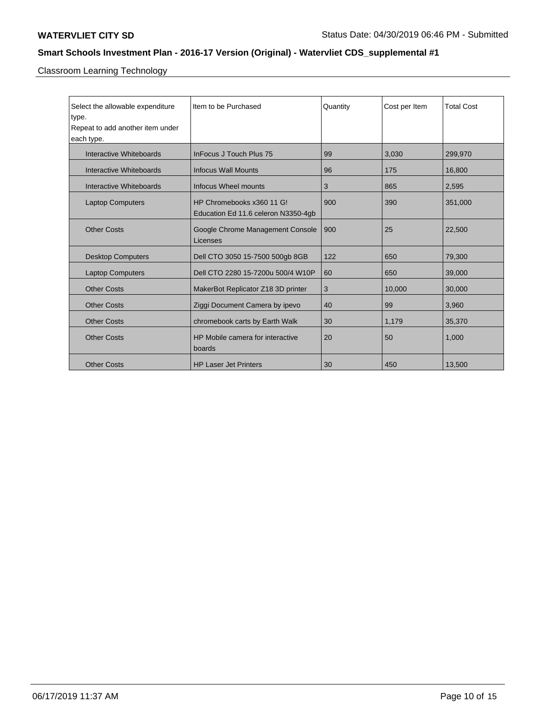Classroom Learning Technology

| Select the allowable expenditure | Item to be Purchased                         | Quantity | Cost per Item | <b>Total Cost</b> |
|----------------------------------|----------------------------------------------|----------|---------------|-------------------|
| type.                            |                                              |          |               |                   |
| Repeat to add another item under |                                              |          |               |                   |
| each type.                       |                                              |          |               |                   |
| Interactive Whiteboards          | InFocus J Touch Plus 75                      | 99       | 3,030         | 299,970           |
| Interactive Whiteboards          | <b>Infocus Wall Mounts</b>                   | 96       | 175           | 16,800            |
| Interactive Whiteboards          | Infocus Wheel mounts                         | 3        | 865           | 2,595             |
| <b>Laptop Computers</b>          | HP Chromebooks x360 11 G!                    | 900      | 390           | 351,000           |
|                                  | Education Ed 11.6 celeron N3350-4gb          |          |               |                   |
| <b>Other Costs</b>               | Google Chrome Management Console<br>Licenses | 900      | 25            | 22,500            |
| <b>Desktop Computers</b>         | Dell CTO 3050 15-7500 500gb 8GB              | 122      | 650           | 79,300            |
| <b>Laptop Computers</b>          | Dell CTO 2280 15-7200u 500/4 W10P            | 60       | 650           | 39,000            |
| <b>Other Costs</b>               | MakerBot Replicator Z18 3D printer           | 3        | 10,000        | 30,000            |
| <b>Other Costs</b>               | Ziggi Document Camera by ipevo               | 40       | 99            | 3,960             |
| <b>Other Costs</b>               | chromebook carts by Earth Walk               | 30       | 1,179         | 35,370            |
| <b>Other Costs</b>               | HP Mobile camera for interactive<br>boards   | 20       | 50            | 1,000             |
| <b>Other Costs</b>               | <b>HP Laser Jet Printers</b>                 | 30       | 450           | 13,500            |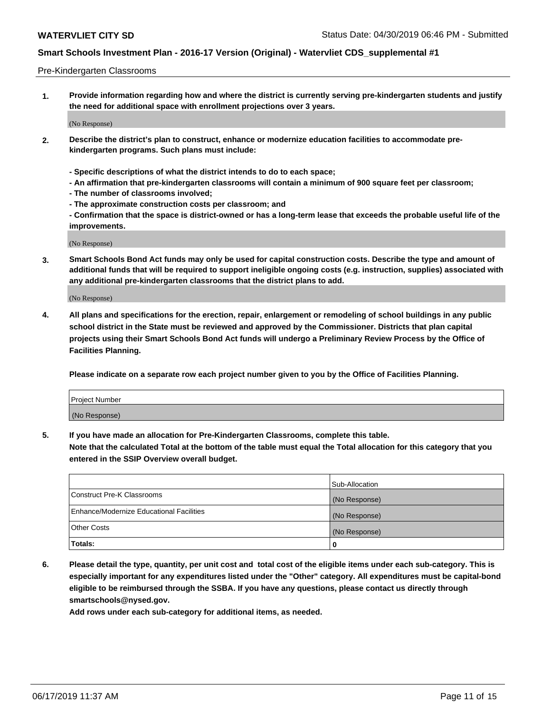### Pre-Kindergarten Classrooms

**1. Provide information regarding how and where the district is currently serving pre-kindergarten students and justify the need for additional space with enrollment projections over 3 years.**

(No Response)

- **2. Describe the district's plan to construct, enhance or modernize education facilities to accommodate prekindergarten programs. Such plans must include:**
	- **Specific descriptions of what the district intends to do to each space;**
	- **An affirmation that pre-kindergarten classrooms will contain a minimum of 900 square feet per classroom;**
	- **The number of classrooms involved;**
	- **The approximate construction costs per classroom; and**
	- **Confirmation that the space is district-owned or has a long-term lease that exceeds the probable useful life of the improvements.**

(No Response)

**3. Smart Schools Bond Act funds may only be used for capital construction costs. Describe the type and amount of additional funds that will be required to support ineligible ongoing costs (e.g. instruction, supplies) associated with any additional pre-kindergarten classrooms that the district plans to add.**

(No Response)

**4. All plans and specifications for the erection, repair, enlargement or remodeling of school buildings in any public school district in the State must be reviewed and approved by the Commissioner. Districts that plan capital projects using their Smart Schools Bond Act funds will undergo a Preliminary Review Process by the Office of Facilities Planning.**

**Please indicate on a separate row each project number given to you by the Office of Facilities Planning.**

| Project Number |  |
|----------------|--|
| (No Response)  |  |
|                |  |

**5. If you have made an allocation for Pre-Kindergarten Classrooms, complete this table.**

**Note that the calculated Total at the bottom of the table must equal the Total allocation for this category that you entered in the SSIP Overview overall budget.**

|                                          | Sub-Allocation |
|------------------------------------------|----------------|
| Construct Pre-K Classrooms               | (No Response)  |
| Enhance/Modernize Educational Facilities | (No Response)  |
| <b>Other Costs</b>                       | (No Response)  |
| Totals:                                  | 0              |

**6. Please detail the type, quantity, per unit cost and total cost of the eligible items under each sub-category. This is especially important for any expenditures listed under the "Other" category. All expenditures must be capital-bond eligible to be reimbursed through the SSBA. If you have any questions, please contact us directly through smartschools@nysed.gov.**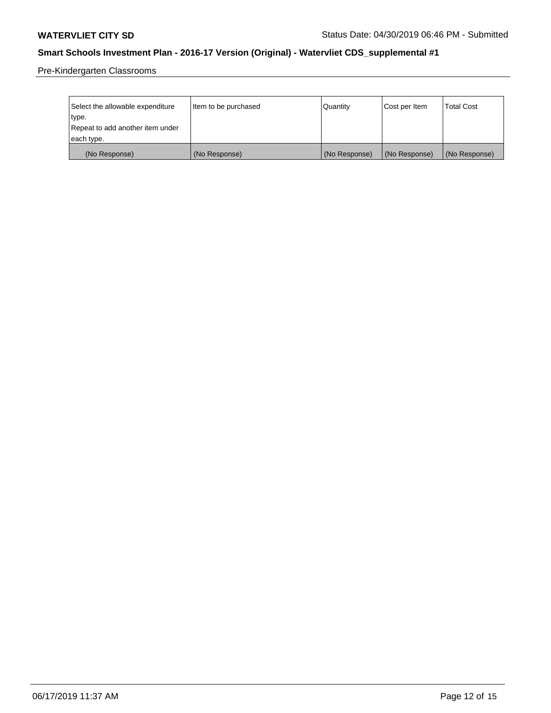Pre-Kindergarten Classrooms

| Select the allowable expenditure | Item to be purchased | Quantity      | Cost per Item | <b>Total Cost</b> |
|----------------------------------|----------------------|---------------|---------------|-------------------|
| type.                            |                      |               |               |                   |
| Repeat to add another item under |                      |               |               |                   |
| each type.                       |                      |               |               |                   |
| (No Response)                    | (No Response)        | (No Response) | (No Response) | (No Response)     |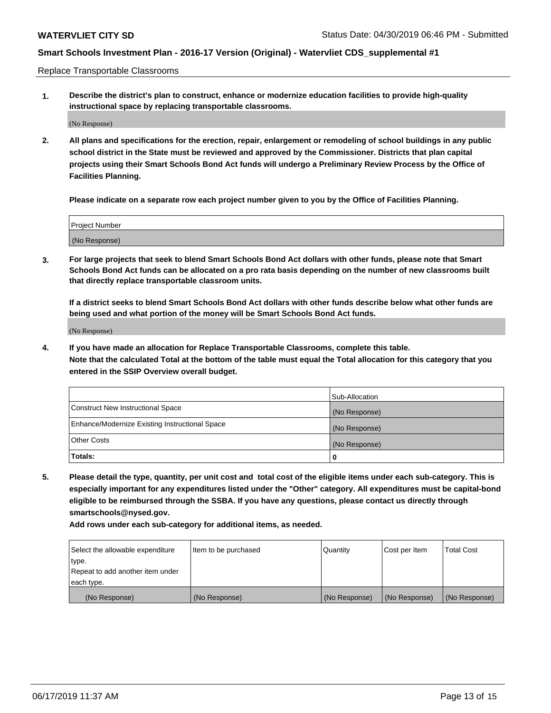Replace Transportable Classrooms

**1. Describe the district's plan to construct, enhance or modernize education facilities to provide high-quality instructional space by replacing transportable classrooms.**

(No Response)

**2. All plans and specifications for the erection, repair, enlargement or remodeling of school buildings in any public school district in the State must be reviewed and approved by the Commissioner. Districts that plan capital projects using their Smart Schools Bond Act funds will undergo a Preliminary Review Process by the Office of Facilities Planning.**

**Please indicate on a separate row each project number given to you by the Office of Facilities Planning.**

| Project Number |  |
|----------------|--|
|                |  |
| (No Response)  |  |

**3. For large projects that seek to blend Smart Schools Bond Act dollars with other funds, please note that Smart Schools Bond Act funds can be allocated on a pro rata basis depending on the number of new classrooms built that directly replace transportable classroom units.**

**If a district seeks to blend Smart Schools Bond Act dollars with other funds describe below what other funds are being used and what portion of the money will be Smart Schools Bond Act funds.**

(No Response)

**4. If you have made an allocation for Replace Transportable Classrooms, complete this table. Note that the calculated Total at the bottom of the table must equal the Total allocation for this category that you entered in the SSIP Overview overall budget.**

|                                                | Sub-Allocation |
|------------------------------------------------|----------------|
| Construct New Instructional Space              | (No Response)  |
| Enhance/Modernize Existing Instructional Space | (No Response)  |
| <b>Other Costs</b>                             | (No Response)  |
| Totals:                                        | 0              |

**5. Please detail the type, quantity, per unit cost and total cost of the eligible items under each sub-category. This is especially important for any expenditures listed under the "Other" category. All expenditures must be capital-bond eligible to be reimbursed through the SSBA. If you have any questions, please contact us directly through smartschools@nysed.gov.**

| Select the allowable expenditure | Item to be purchased | l Quantitv    | Cost per Item | <b>Total Cost</b> |
|----------------------------------|----------------------|---------------|---------------|-------------------|
| type.                            |                      |               |               |                   |
| Repeat to add another item under |                      |               |               |                   |
| each type.                       |                      |               |               |                   |
| (No Response)                    | (No Response)        | (No Response) | (No Response) | (No Response)     |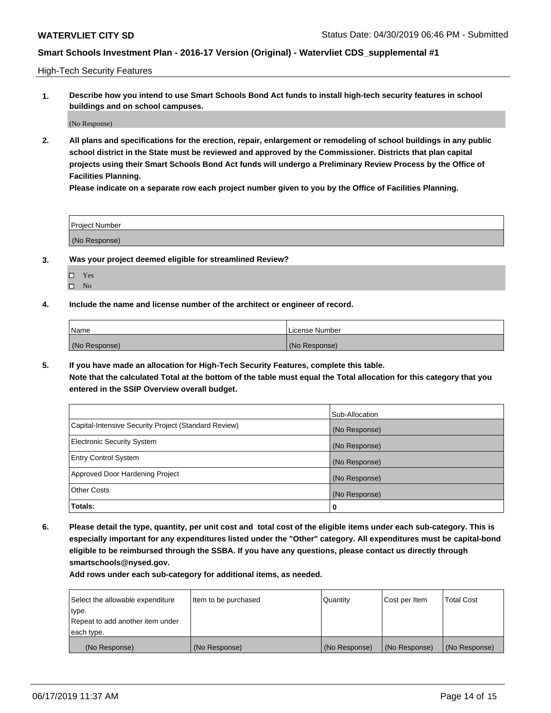High-Tech Security Features

**1. Describe how you intend to use Smart Schools Bond Act funds to install high-tech security features in school buildings and on school campuses.**

(No Response)

**2. All plans and specifications for the erection, repair, enlargement or remodeling of school buildings in any public school district in the State must be reviewed and approved by the Commissioner. Districts that plan capital projects using their Smart Schools Bond Act funds will undergo a Preliminary Review Process by the Office of Facilities Planning.** 

**Please indicate on a separate row each project number given to you by the Office of Facilities Planning.**

| <b>Project Number</b> |  |
|-----------------------|--|
| (No Response)         |  |

- **3. Was your project deemed eligible for streamlined Review?**
	- Yes
	- $\square$  No
- **4. Include the name and license number of the architect or engineer of record.**

| <b>Name</b>   | License Number |
|---------------|----------------|
| (No Response) | (No Response)  |

**5. If you have made an allocation for High-Tech Security Features, complete this table.**

**Note that the calculated Total at the bottom of the table must equal the Total allocation for this category that you entered in the SSIP Overview overall budget.**

|                                                      | Sub-Allocation |
|------------------------------------------------------|----------------|
| Capital-Intensive Security Project (Standard Review) | (No Response)  |
| <b>Electronic Security System</b>                    | (No Response)  |
| <b>Entry Control System</b>                          | (No Response)  |
| Approved Door Hardening Project                      | (No Response)  |
| <b>Other Costs</b>                                   | (No Response)  |
| Totals:                                              | 0              |

**6. Please detail the type, quantity, per unit cost and total cost of the eligible items under each sub-category. This is especially important for any expenditures listed under the "Other" category. All expenditures must be capital-bond eligible to be reimbursed through the SSBA. If you have any questions, please contact us directly through smartschools@nysed.gov.**

| Select the allowable expenditure | Item to be purchased | Quantity      | Cost per Item | <b>Total Cost</b> |
|----------------------------------|----------------------|---------------|---------------|-------------------|
| type.                            |                      |               |               |                   |
| Repeat to add another item under |                      |               |               |                   |
| each type.                       |                      |               |               |                   |
| (No Response)                    | (No Response)        | (No Response) | (No Response) | (No Response)     |